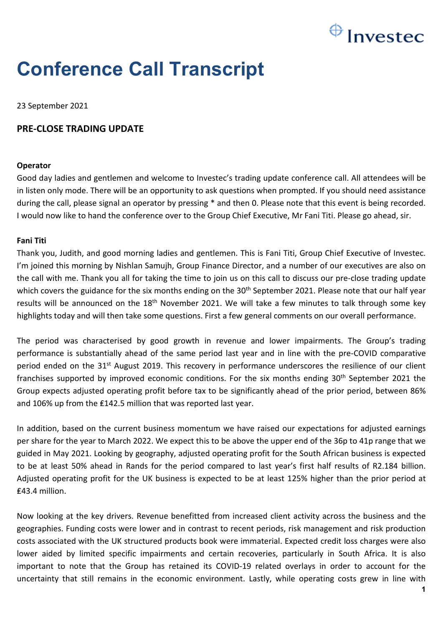# $\bigoplus$  Investec

# **Conference Call Transcript**

23 September 2021

# **PRE-CLOSE TRADING UPDATE**

# **Operator**

Good day ladies and gentlemen and welcome to Investec's trading update conference call. All attendees will be in listen only mode. There will be an opportunity to ask questions when prompted. If you should need assistance during the call, please signal an operator by pressing \* and then 0. Please note that this event is being recorded. I would now like to hand the conference over to the Group Chief Executive, Mr Fani Titi. Please go ahead, sir.

## **Fani Titi**

Thank you, Judith, and good morning ladies and gentlemen. This is Fani Titi, Group Chief Executive of Investec. I'm joined this morning by Nishlan Samujh, Group Finance Director, and a number of our executives are also on the call with me. Thank you all for taking the time to join us on this call to discuss our pre-close trading update which covers the guidance for the six months ending on the 30<sup>th</sup> September 2021. Please note that our half year results will be announced on the 18<sup>th</sup> November 2021. We will take a few minutes to talk through some key highlights today and will then take some questions. First a few general comments on our overall performance.

The period was characterised by good growth in revenue and lower impairments. The Group's trading performance is substantially ahead of the same period last year and in line with the pre-COVID comparative period ended on the  $31^{st}$  August 2019. This recovery in performance underscores the resilience of our client franchises supported by improved economic conditions. For the six months ending 30<sup>th</sup> September 2021 the Group expects adjusted operating profit before tax to be significantly ahead of the prior period, between 86% and 106% up from the £142.5 million that was reported last year.

In addition, based on the current business momentum we have raised our expectations for adjusted earnings per share for the year to March 2022. We expect this to be above the upper end of the 36p to 41p range that we guided in May 2021. Looking by geography, adjusted operating profit for the South African business is expected to be at least 50% ahead in Rands for the period compared to last year's first half results of R2.184 billion. Adjusted operating profit for the UK business is expected to be at least 125% higher than the prior period at ₤43.4 million.

Now looking at the key drivers. Revenue benefitted from increased client activity across the business and the geographies. Funding costs were lower and in contrast to recent periods, risk management and risk production costs associated with the UK structured products book were immaterial. Expected credit loss charges were also lower aided by limited specific impairments and certain recoveries, particularly in South Africa. It is also important to note that the Group has retained its COVID-19 related overlays in order to account for the uncertainty that still remains in the economic environment. Lastly, while operating costs grew in line with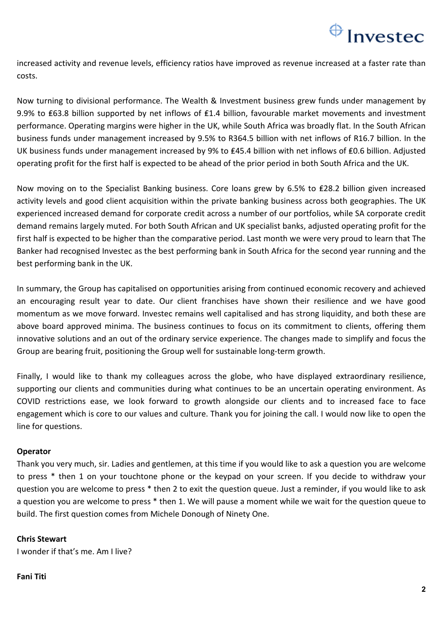# $\bigoplus$  Investec

increased activity and revenue levels, efficiency ratios have improved as revenue increased at a faster rate than costs.

Now turning to divisional performance. The Wealth & Investment business grew funds under management by 9.9% to £63.8 billion supported by net inflows of £1.4 billion, favourable market movements and investment performance. Operating margins were higher in the UK, while South Africa was broadly flat. In the South African business funds under management increased by 9.5% to R364.5 billion with net inflows of R16.7 billion. In the UK business funds under management increased by 9% to ₤45.4 billion with net inflows of ₤0.6 billion. Adjusted operating profit for the first half is expected to be ahead of the prior period in both South Africa and the UK.

Now moving on to the Specialist Banking business. Core loans grew by 6.5% to ₤28.2 billion given increased activity levels and good client acquisition within the private banking business across both geographies. The UK experienced increased demand for corporate credit across a number of our portfolios, while SA corporate credit demand remains largely muted. For both South African and UK specialist banks, adjusted operating profit for the first half is expected to be higher than the comparative period. Last month we were very proud to learn that The Banker had recognised Investec as the best performing bank in South Africa for the second year running and the best performing bank in the UK.

In summary, the Group has capitalised on opportunities arising from continued economic recovery and achieved an encouraging result year to date. Our client franchises have shown their resilience and we have good momentum as we move forward. Investec remains well capitalised and has strong liquidity, and both these are above board approved minima. The business continues to focus on its commitment to clients, offering them innovative solutions and an out of the ordinary service experience. The changes made to simplify and focus the Group are bearing fruit, positioning the Group well for sustainable long-term growth.

Finally, I would like to thank my colleagues across the globe, who have displayed extraordinary resilience, supporting our clients and communities during what continues to be an uncertain operating environment. As COVID restrictions ease, we look forward to growth alongside our clients and to increased face to face engagement which is core to our values and culture. Thank you for joining the call. I would now like to open the line for questions.

# **Operator**

Thank you very much, sir. Ladies and gentlemen, at this time if you would like to ask a question you are welcome to press \* then 1 on your touchtone phone or the keypad on your screen. If you decide to withdraw your question you are welcome to press \* then 2 to exit the question queue. Just a reminder, if you would like to ask a question you are welcome to press \* then 1. We will pause a moment while we wait for the question queue to build. The first question comes from Michele Donough of Ninety One.

# **Chris Stewart**

I wonder if that's me. Am I live?

# **Fani Titi**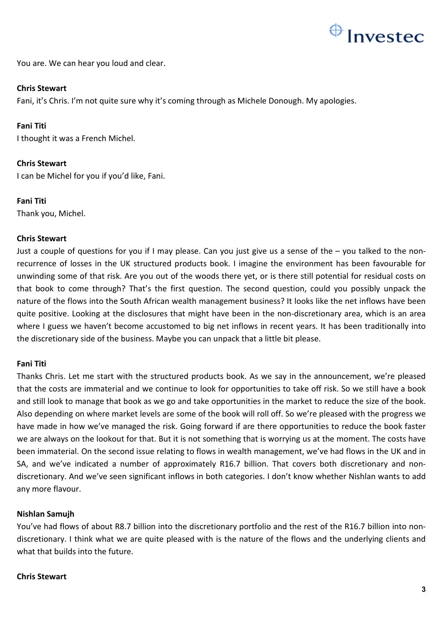

You are. We can hear you loud and clear.

## **Chris Stewart**

Fani, it's Chris. I'm not quite sure why it's coming through as Michele Donough. My apologies.

## **Fani Titi**

I thought it was a French Michel.

# **Chris Stewart**

I can be Michel for you if you'd like, Fani.

## **Fani Titi**

Thank you, Michel.

## **Chris Stewart**

Just a couple of questions for you if I may please. Can you just give us a sense of the – you talked to the nonrecurrence of losses in the UK structured products book. I imagine the environment has been favourable for unwinding some of that risk. Are you out of the woods there yet, or is there still potential for residual costs on that book to come through? That's the first question. The second question, could you possibly unpack the nature of the flows into the South African wealth management business? It looks like the net inflows have been quite positive. Looking at the disclosures that might have been in the non-discretionary area, which is an area where I guess we haven't become accustomed to big net inflows in recent years. It has been traditionally into the discretionary side of the business. Maybe you can unpack that a little bit please.

# **Fani Titi**

Thanks Chris. Let me start with the structured products book. As we say in the announcement, we're pleased that the costs are immaterial and we continue to look for opportunities to take off risk. So we still have a book and still look to manage that book as we go and take opportunities in the market to reduce the size of the book. Also depending on where market levels are some of the book will roll off. So we're pleased with the progress we have made in how we've managed the risk. Going forward if are there opportunities to reduce the book faster we are always on the lookout for that. But it is not something that is worrying us at the moment. The costs have been immaterial. On the second issue relating to flows in wealth management, we've had flows in the UK and in SA, and we've indicated a number of approximately R16.7 billion. That covers both discretionary and nondiscretionary. And we've seen significant inflows in both categories. I don't know whether Nishlan wants to add any more flavour.

# **Nishlan Samujh**

You've had flows of about R8.7 billion into the discretionary portfolio and the rest of the R16.7 billion into nondiscretionary. I think what we are quite pleased with is the nature of the flows and the underlying clients and what that builds into the future.

## **Chris Stewart**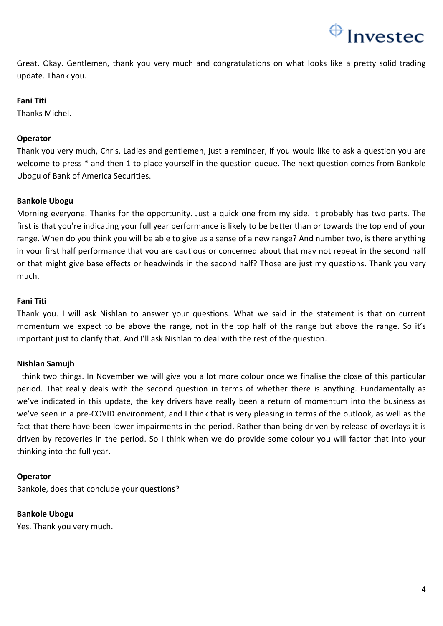

Great. Okay. Gentlemen, thank you very much and congratulations on what looks like a pretty solid trading update. Thank you.

## **Fani Titi**

Thanks Michel.

## **Operator**

Thank you very much, Chris. Ladies and gentlemen, just a reminder, if you would like to ask a question you are welcome to press \* and then 1 to place yourself in the question queue. The next question comes from Bankole Ubogu of Bank of America Securities.

## **Bankole Ubogu**

Morning everyone. Thanks for the opportunity. Just a quick one from my side. It probably has two parts. The first is that you're indicating your full year performance is likely to be better than or towards the top end of your range. When do you think you will be able to give us a sense of a new range? And number two, is there anything in your first half performance that you are cautious or concerned about that may not repeat in the second half or that might give base effects or headwinds in the second half? Those are just my questions. Thank you very much.

## **Fani Titi**

Thank you. I will ask Nishlan to answer your questions. What we said in the statement is that on current momentum we expect to be above the range, not in the top half of the range but above the range. So it's important just to clarify that. And I'll ask Nishlan to deal with the rest of the question.

# **Nishlan Samujh**

I think two things. In November we will give you a lot more colour once we finalise the close of this particular period. That really deals with the second question in terms of whether there is anything. Fundamentally as we've indicated in this update, the key drivers have really been a return of momentum into the business as we've seen in a pre-COVID environment, and I think that is very pleasing in terms of the outlook, as well as the fact that there have been lower impairments in the period. Rather than being driven by release of overlays it is driven by recoveries in the period. So I think when we do provide some colour you will factor that into your thinking into the full year.

## **Operator**

Bankole, does that conclude your questions?

**Bankole Ubogu**

Yes. Thank you very much.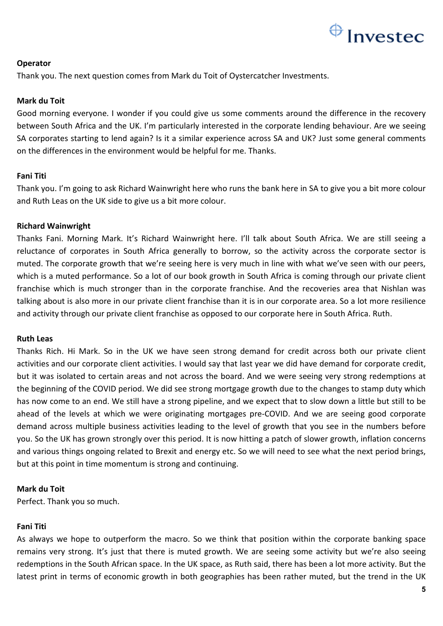

# **Operator**

Thank you. The next question comes from Mark du Toit of Oystercatcher Investments.

# **Mark du Toit**

Good morning everyone. I wonder if you could give us some comments around the difference in the recovery between South Africa and the UK. I'm particularly interested in the corporate lending behaviour. Are we seeing SA corporates starting to lend again? Is it a similar experience across SA and UK? Just some general comments on the differences in the environment would be helpful for me. Thanks.

# **Fani Titi**

Thank you. I'm going to ask Richard Wainwright here who runs the bank here in SA to give you a bit more colour and Ruth Leas on the UK side to give us a bit more colour.

# **Richard Wainwright**

Thanks Fani. Morning Mark. It's Richard Wainwright here. I'll talk about South Africa. We are still seeing a reluctance of corporates in South Africa generally to borrow, so the activity across the corporate sector is muted. The corporate growth that we're seeing here is very much in line with what we've seen with our peers, which is a muted performance. So a lot of our book growth in South Africa is coming through our private client franchise which is much stronger than in the corporate franchise. And the recoveries area that Nishlan was talking about is also more in our private client franchise than it is in our corporate area. So a lot more resilience and activity through our private client franchise as opposed to our corporate here in South Africa. Ruth.

# **Ruth Leas**

Thanks Rich. Hi Mark. So in the UK we have seen strong demand for credit across both our private client activities and our corporate client activities. I would say that last year we did have demand for corporate credit, but it was isolated to certain areas and not across the board. And we were seeing very strong redemptions at the beginning of the COVID period. We did see strong mortgage growth due to the changes to stamp duty which has now come to an end. We still have a strong pipeline, and we expect that to slow down a little but still to be ahead of the levels at which we were originating mortgages pre-COVID. And we are seeing good corporate demand across multiple business activities leading to the level of growth that you see in the numbers before you. So the UK has grown strongly over this period. It is now hitting a patch of slower growth, inflation concerns and various things ongoing related to Brexit and energy etc. So we will need to see what the next period brings, but at this point in time momentum is strong and continuing.

# **Mark du Toit**

Perfect. Thank you so much.

# **Fani Titi**

As always we hope to outperform the macro. So we think that position within the corporate banking space remains very strong. It's just that there is muted growth. We are seeing some activity but we're also seeing redemptions in the South African space. In the UK space, as Ruth said, there has been a lot more activity. But the latest print in terms of economic growth in both geographies has been rather muted, but the trend in the UK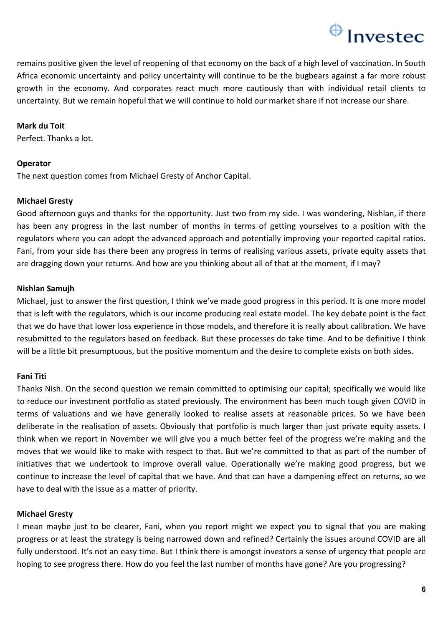# $\bigoplus$  Investec

remains positive given the level of reopening of that economy on the back of a high level of vaccination. In South Africa economic uncertainty and policy uncertainty will continue to be the bugbears against a far more robust growth in the economy. And corporates react much more cautiously than with individual retail clients to uncertainty. But we remain hopeful that we will continue to hold our market share if not increase our share.

# **Mark du Toit**

Perfect. Thanks a lot.

# **Operator**

The next question comes from Michael Gresty of Anchor Capital.

# **Michael Gresty**

Good afternoon guys and thanks for the opportunity. Just two from my side. I was wondering, Nishlan, if there has been any progress in the last number of months in terms of getting yourselves to a position with the regulators where you can adopt the advanced approach and potentially improving your reported capital ratios. Fani, from your side has there been any progress in terms of realising various assets, private equity assets that are dragging down your returns. And how are you thinking about all of that at the moment, if I may?

# **Nishlan Samujh**

Michael, just to answer the first question, I think we've made good progress in this period. It is one more model that is left with the regulators, which is our income producing real estate model. The key debate point is the fact that we do have that lower loss experience in those models, and therefore it is really about calibration. We have resubmitted to the regulators based on feedback. But these processes do take time. And to be definitive I think will be a little bit presumptuous, but the positive momentum and the desire to complete exists on both sides.

# **Fani Titi**

Thanks Nish. On the second question we remain committed to optimising our capital; specifically we would like to reduce our investment portfolio as stated previously. The environment has been much tough given COVID in terms of valuations and we have generally looked to realise assets at reasonable prices. So we have been deliberate in the realisation of assets. Obviously that portfolio is much larger than just private equity assets. I think when we report in November we will give you a much better feel of the progress we're making and the moves that we would like to make with respect to that. But we're committed to that as part of the number of initiatives that we undertook to improve overall value. Operationally we're making good progress, but we continue to increase the level of capital that we have. And that can have a dampening effect on returns, so we have to deal with the issue as a matter of priority.

# **Michael Gresty**

I mean maybe just to be clearer, Fani, when you report might we expect you to signal that you are making progress or at least the strategy is being narrowed down and refined? Certainly the issues around COVID are all fully understood. It's not an easy time. But I think there is amongst investors a sense of urgency that people are hoping to see progress there. How do you feel the last number of months have gone? Are you progressing?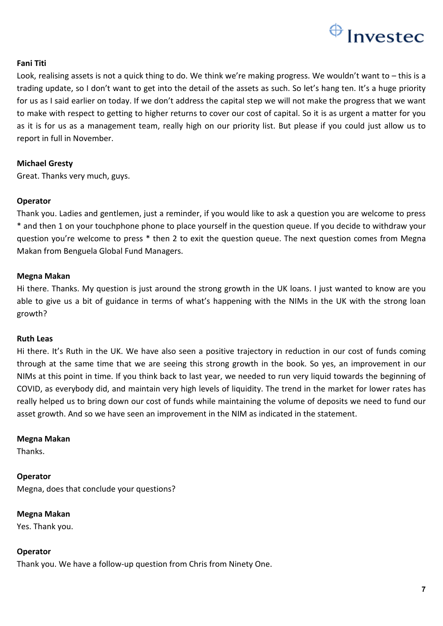

## **Fani Titi**

Look, realising assets is not a quick thing to do. We think we're making progress. We wouldn't want to – this is a trading update, so I don't want to get into the detail of the assets as such. So let's hang ten. It's a huge priority for us as I said earlier on today. If we don't address the capital step we will not make the progress that we want to make with respect to getting to higher returns to cover our cost of capital. So it is as urgent a matter for you as it is for us as a management team, really high on our priority list. But please if you could just allow us to report in full in November.

## **Michael Gresty**

Great. Thanks very much, guys.

## **Operator**

Thank you. Ladies and gentlemen, just a reminder, if you would like to ask a question you are welcome to press \* and then 1 on your touchphone phone to place yourself in the question queue. If you decide to withdraw your question you're welcome to press \* then 2 to exit the question queue. The next question comes from Megna Makan from Benguela Global Fund Managers.

## **Megna Makan**

Hi there. Thanks. My question is just around the strong growth in the UK loans. I just wanted to know are you able to give us a bit of guidance in terms of what's happening with the NIMs in the UK with the strong loan growth?

## **Ruth Leas**

Hi there. It's Ruth in the UK. We have also seen a positive trajectory in reduction in our cost of funds coming through at the same time that we are seeing this strong growth in the book. So yes, an improvement in our NIMs at this point in time. If you think back to last year, we needed to run very liquid towards the beginning of COVID, as everybody did, and maintain very high levels of liquidity. The trend in the market for lower rates has really helped us to bring down our cost of funds while maintaining the volume of deposits we need to fund our asset growth. And so we have seen an improvement in the NIM as indicated in the statement.

## **Megna Makan**

Thanks.

**Operator**  Megna, does that conclude your questions?

**Megna Makan** Yes. Thank you.

## **Operator**

Thank you. We have a follow-up question from Chris from Ninety One.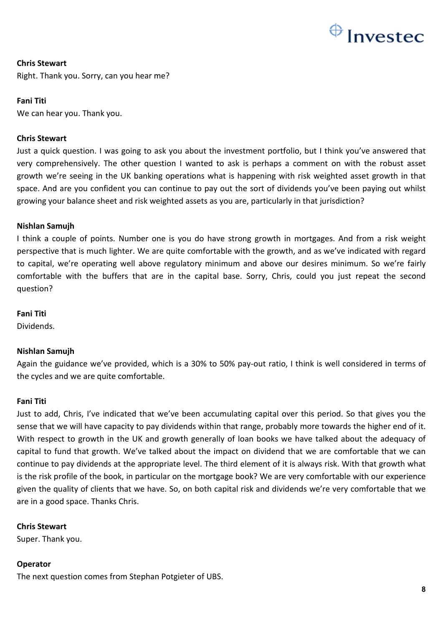

# **Chris Stewart**

Right. Thank you. Sorry, can you hear me?

## **Fani Titi**

We can hear you. Thank you.

## **Chris Stewart**

Just a quick question. I was going to ask you about the investment portfolio, but I think you've answered that very comprehensively. The other question I wanted to ask is perhaps a comment on with the robust asset growth we're seeing in the UK banking operations what is happening with risk weighted asset growth in that space. And are you confident you can continue to pay out the sort of dividends you've been paying out whilst growing your balance sheet and risk weighted assets as you are, particularly in that jurisdiction?

## **Nishlan Samujh**

I think a couple of points. Number one is you do have strong growth in mortgages. And from a risk weight perspective that is much lighter. We are quite comfortable with the growth, and as we've indicated with regard to capital, we're operating well above regulatory minimum and above our desires minimum. So we're fairly comfortable with the buffers that are in the capital base. Sorry, Chris, could you just repeat the second question?

## **Fani Titi**

Dividends.

# **Nishlan Samujh**

Again the guidance we've provided, which is a 30% to 50% pay-out ratio, I think is well considered in terms of the cycles and we are quite comfortable.

## **Fani Titi**

Just to add, Chris, I've indicated that we've been accumulating capital over this period. So that gives you the sense that we will have capacity to pay dividends within that range, probably more towards the higher end of it. With respect to growth in the UK and growth generally of loan books we have talked about the adequacy of capital to fund that growth. We've talked about the impact on dividend that we are comfortable that we can continue to pay dividends at the appropriate level. The third element of it is always risk. With that growth what is the risk profile of the book, in particular on the mortgage book? We are very comfortable with our experience given the quality of clients that we have. So, on both capital risk and dividends we're very comfortable that we are in a good space. Thanks Chris.

# **Chris Stewart**

Super. Thank you.

## **Operator**

The next question comes from Stephan Potgieter of UBS.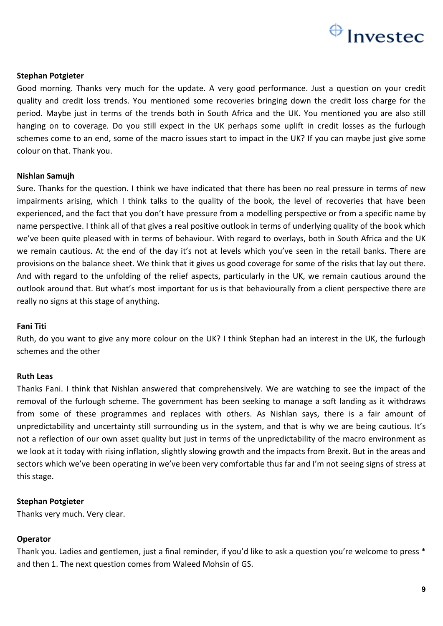

## **Stephan Potgieter**

Good morning. Thanks very much for the update. A very good performance. Just a question on your credit quality and credit loss trends. You mentioned some recoveries bringing down the credit loss charge for the period. Maybe just in terms of the trends both in South Africa and the UK. You mentioned you are also still hanging on to coverage. Do you still expect in the UK perhaps some uplift in credit losses as the furlough schemes come to an end, some of the macro issues start to impact in the UK? If you can maybe just give some colour on that. Thank you.

## **Nishlan Samujh**

Sure. Thanks for the question. I think we have indicated that there has been no real pressure in terms of new impairments arising, which I think talks to the quality of the book, the level of recoveries that have been experienced, and the fact that you don't have pressure from a modelling perspective or from a specific name by name perspective. I think all of that gives a real positive outlook in terms of underlying quality of the book which we've been quite pleased with in terms of behaviour. With regard to overlays, both in South Africa and the UK we remain cautious. At the end of the day it's not at levels which you've seen in the retail banks. There are provisions on the balance sheet. We think that it gives us good coverage for some of the risks that lay out there. And with regard to the unfolding of the relief aspects, particularly in the UK, we remain cautious around the outlook around that. But what's most important for us is that behaviourally from a client perspective there are really no signs at this stage of anything.

## **Fani Titi**

Ruth, do you want to give any more colour on the UK? I think Stephan had an interest in the UK, the furlough schemes and the other

## **Ruth Leas**

Thanks Fani. I think that Nishlan answered that comprehensively. We are watching to see the impact of the removal of the furlough scheme. The government has been seeking to manage a soft landing as it withdraws from some of these programmes and replaces with others. As Nishlan says, there is a fair amount of unpredictability and uncertainty still surrounding us in the system, and that is why we are being cautious. It's not a reflection of our own asset quality but just in terms of the unpredictability of the macro environment as we look at it today with rising inflation, slightly slowing growth and the impacts from Brexit. But in the areas and sectors which we've been operating in we've been very comfortable thus far and I'm not seeing signs of stress at this stage.

## **Stephan Potgieter**

Thanks very much. Very clear.

## **Operator**

Thank you. Ladies and gentlemen, just a final reminder, if you'd like to ask a question you're welcome to press \* and then 1. The next question comes from Waleed Mohsin of GS.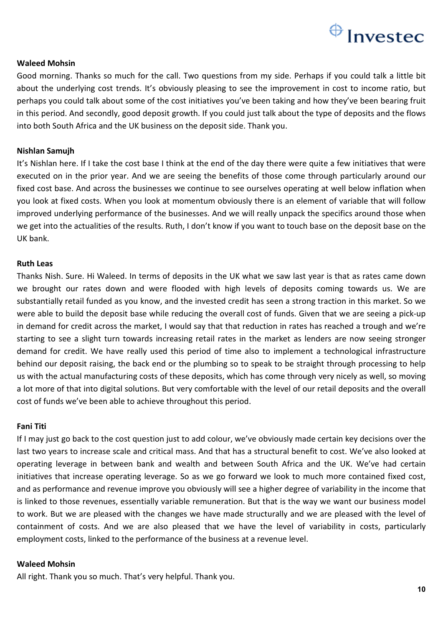

## **Waleed Mohsin**

Good morning. Thanks so much for the call. Two questions from my side. Perhaps if you could talk a little bit about the underlying cost trends. It's obviously pleasing to see the improvement in cost to income ratio, but perhaps you could talk about some of the cost initiatives you've been taking and how they've been bearing fruit in this period. And secondly, good deposit growth. If you could just talk about the type of deposits and the flows into both South Africa and the UK business on the deposit side. Thank you.

## **Nishlan Samujh**

It's Nishlan here. If I take the cost base I think at the end of the day there were quite a few initiatives that were executed on in the prior year. And we are seeing the benefits of those come through particularly around our fixed cost base. And across the businesses we continue to see ourselves operating at well below inflation when you look at fixed costs. When you look at momentum obviously there is an element of variable that will follow improved underlying performance of the businesses. And we will really unpack the specifics around those when we get into the actualities of the results. Ruth, I don't know if you want to touch base on the deposit base on the UK bank.

## **Ruth Leas**

Thanks Nish. Sure. Hi Waleed. In terms of deposits in the UK what we saw last year is that as rates came down we brought our rates down and were flooded with high levels of deposits coming towards us. We are substantially retail funded as you know, and the invested credit has seen a strong traction in this market. So we were able to build the deposit base while reducing the overall cost of funds. Given that we are seeing a pick-up in demand for credit across the market, I would say that that reduction in rates has reached a trough and we're starting to see a slight turn towards increasing retail rates in the market as lenders are now seeing stronger demand for credit. We have really used this period of time also to implement a technological infrastructure behind our deposit raising, the back end or the plumbing so to speak to be straight through processing to help us with the actual manufacturing costs of these deposits, which has come through very nicely as well, so moving a lot more of that into digital solutions. But very comfortable with the level of our retail deposits and the overall cost of funds we've been able to achieve throughout this period.

#### **Fani Titi**

If I may just go back to the cost question just to add colour, we've obviously made certain key decisions over the last two years to increase scale and critical mass. And that has a structural benefit to cost. We've also looked at operating leverage in between bank and wealth and between South Africa and the UK. We've had certain initiatives that increase operating leverage. So as we go forward we look to much more contained fixed cost, and as performance and revenue improve you obviously will see a higher degree of variability in the income that is linked to those revenues, essentially variable remuneration. But that is the way we want our business model to work. But we are pleased with the changes we have made structurally and we are pleased with the level of containment of costs. And we are also pleased that we have the level of variability in costs, particularly employment costs, linked to the performance of the business at a revenue level.

#### **Waleed Mohsin**

All right. Thank you so much. That's very helpful. Thank you.